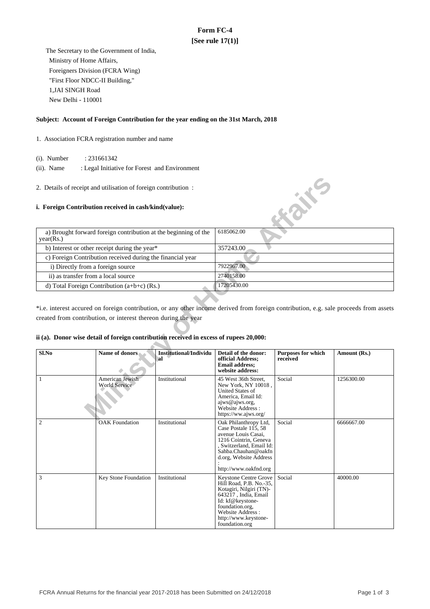# **Form FC-4 [See rule 17(1)]**

 The Secretary to the Government of India, Ministry of Home Affairs, Foreigners Division (FCRA Wing) "First Floor NDCC-II Building," 1,JAI SINGH Road New Delhi - 110001

## **Subject: Account of Foreign Contribution for the year ending on the 31st March, 2018**

- 1. Association FCRA registration number and name
	- (i). Number : 231661342
	- (ii). Name : Legal Initiative for Forest and Environment
- 2. Details of receipt and utilisation of foreign contribution :

### **i. Foreign Contribution received in cash/kind(value):**

| a) Brought forward foreign contribution at the beginning of the<br>year(Rs.) | 6185062.00  |
|------------------------------------------------------------------------------|-------------|
| b) Interest or other receipt during the year*                                | 357243.00   |
| c) Foreign Contribution received during the financial year                   |             |
| i) Directly from a foreign source                                            | 7922967.00  |
| ii) as transfer from a local source                                          | 2740158.00  |
| d) Total Foreign Contribution $(a+b+c)$ (Rs.)                                | 17205430.00 |

## **ii (a). Donor wise detail of foreign contribution received in excess of rupees 20,000:**

|                                     | 2. Details of receipt and utilisation of foreign contribution :                        |                                      |                                                                                                                                                                                                                   |                                       |                                                                                                                                       |  |
|-------------------------------------|----------------------------------------------------------------------------------------|--------------------------------------|-------------------------------------------------------------------------------------------------------------------------------------------------------------------------------------------------------------------|---------------------------------------|---------------------------------------------------------------------------------------------------------------------------------------|--|
|                                     | i. Foreign Contribution received in cash/kind(value):                                  |                                      |                                                                                                                                                                                                                   | <b>AZIVE</b>                          |                                                                                                                                       |  |
| year(Rs.)                           | a) Brought forward foreign contribution at the beginning of the                        |                                      | 6185062.00                                                                                                                                                                                                        |                                       |                                                                                                                                       |  |
|                                     | b) Interest or other receipt during the year*                                          |                                      | 357243.00                                                                                                                                                                                                         |                                       |                                                                                                                                       |  |
|                                     | c) Foreign Contribution received during the financial year                             |                                      |                                                                                                                                                                                                                   |                                       |                                                                                                                                       |  |
| i) Directly from a foreign source   |                                                                                        |                                      | 7922967.00                                                                                                                                                                                                        |                                       |                                                                                                                                       |  |
| ii) as transfer from a local source |                                                                                        |                                      | 2740158.00                                                                                                                                                                                                        |                                       |                                                                                                                                       |  |
|                                     | d) Total Foreign Contribution (a+b+c) (Rs.)                                            |                                      | 17205430.00                                                                                                                                                                                                       |                                       |                                                                                                                                       |  |
|                                     |                                                                                        |                                      |                                                                                                                                                                                                                   |                                       |                                                                                                                                       |  |
|                                     |                                                                                        |                                      |                                                                                                                                                                                                                   |                                       | *i.e. interest accured on foreign contribution, or any other income derived from foreign contribution, e.g. sale proceeds from assets |  |
|                                     | created from contribution, or interest thereon during the year                         |                                      |                                                                                                                                                                                                                   |                                       |                                                                                                                                       |  |
|                                     |                                                                                        |                                      |                                                                                                                                                                                                                   |                                       |                                                                                                                                       |  |
|                                     | ii (a). Donor wise detail of foreign contribution received in excess of rupees 20,000: |                                      |                                                                                                                                                                                                                   |                                       |                                                                                                                                       |  |
|                                     |                                                                                        |                                      |                                                                                                                                                                                                                   |                                       |                                                                                                                                       |  |
| Sl.No                               | Name of donors                                                                         | <b>Institutional/Individu</b><br>'al | Detail of the donor:<br>official Address;<br><b>Email address;</b><br>website address:                                                                                                                            | <b>Purposes for which</b><br>received | Amount (Rs.)                                                                                                                          |  |
| 1                                   | American Jewish<br>World Service                                                       | Institutional                        | 45 West 36th Street.<br>New York, NY 10018,<br>United States of<br>America, Email Id:<br>ajws@ajws.org,<br>Website Address :<br>https://ww.ajws.org/                                                              | Social                                | 1256300.00                                                                                                                            |  |
| 2                                   | <b>OAK Foundation</b>                                                                  | Institutional                        | Oak Philanthropy Ltd,<br>Case Postale $1\overline{15}$ , 58<br>avenue Louis Casai,<br>1216 Cointrin, Geneva<br>, Switzerland, Email Id:<br>Sahba.Chauhan@oakfn<br>d.org, Website Address<br>http://www.oakfnd.org | Social                                | 6666667.00                                                                                                                            |  |
| 3                                   | Key Stone Foundation                                                                   | Institutional                        | Keystone Centre Grove<br>Hill Road, P.B. No.-35,<br>Kotagiri, Nilgiri (TN)-<br>643217, India, Email<br>Id: kf@keystone-<br>foundation.org,<br>Website Address:<br>http://www.keystone-<br>foundation.org          | Social                                | 40000.00                                                                                                                              |  |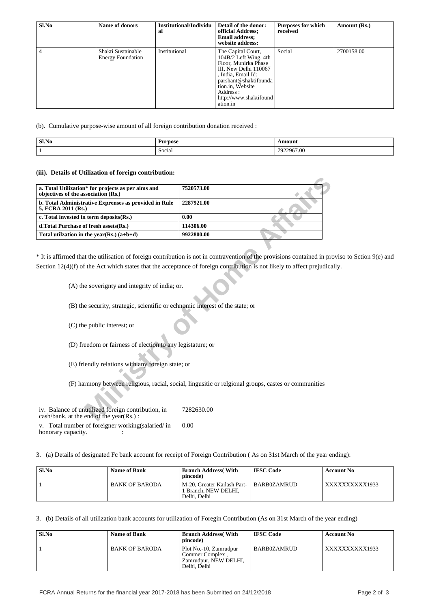| Sl.No | Name of donors                                 | Institutional/Individu<br>al | Detail of the donor:<br>official Address;<br><b>Email address:</b><br>website address:                                                                                                                             | <b>Purposes for which</b><br>received | Amount (Rs.) |
|-------|------------------------------------------------|------------------------------|--------------------------------------------------------------------------------------------------------------------------------------------------------------------------------------------------------------------|---------------------------------------|--------------|
| 4     | Shakti Sustainable<br><b>Energy Foundation</b> | Institutional                | The Capital Court,<br>104B/2 Left Wing, 4th<br>Floor, Munirka Phase<br>III, New Delhi 110067<br>, India, Email Id:<br>parshant@shaktifounda<br>tion.in, Website<br>Address :<br>http://www.shaktifound<br>ation.in | Social                                | 2700158.00   |

(b). Cumulative purpose-wise amount of all foreign contribution donation received :

| ' Sl.No | <b>Durnoso</b><br>JUST<br>$\sim$ $\sim$ $\sim$ | Amour          |
|---------|------------------------------------------------|----------------|
|         | Social                                         | 2967.00<br>702 |

#### **(iii). Details of Utilization of foreign contribution:**

| a. Total Utilization* for projects as per aims and<br>objectives of the association (Rs.)         | 7520573.00                                                                                                                 |
|---------------------------------------------------------------------------------------------------|----------------------------------------------------------------------------------------------------------------------------|
| b. Total Administrative Exprenses as provided in Rule<br>5, FCRA 2011 (Rs.)                       | 2287921.00                                                                                                                 |
| c. Total invested in term deposits(Rs.)                                                           | 0.00                                                                                                                       |
| d.Total Purchase of fresh assets (Rs.)                                                            | 114306.00                                                                                                                  |
| Total utilization in the year(Rs.) $(a+b+d)$                                                      | 9922800.00                                                                                                                 |
|                                                                                                   | * It is affirmed that the utilisation of foreign contribution is not in contravention of the provisions contained in prov  |
| (A) the soverignty and integrity of india; or.                                                    | Section $12(4)(f)$ of the Act which states that the acceptance of foreign contribution is not likely to affect prejudicall |
| (B) the security, strategic, scientific or echnomic interest of the state; or                     |                                                                                                                            |
| (C) the public interest; or                                                                       |                                                                                                                            |
| (D) freedom or fairness of election to any legistature; or                                        |                                                                                                                            |
| (E) friendly relations with any foreign state; or                                                 |                                                                                                                            |
|                                                                                                   | (F) harmony between religious, racial, social, lingusitic or religonal groups, castes or communities                       |
| iv. Balance of unutilized foreign contribution, in<br>$\cosh/bank$ , at the end of the year(Rs.): | 7282630.00                                                                                                                 |

\* It is affirmed that the utilisation of foreign contribution is not in contravention of the provisions contained in proviso to Sction 9(e) and Section 12(4)(f) of the Act which states that the acceptance of foreign contribution is not likely to affect prejudically.

v. Total number of foreigner working(salaried/ in honorary capacity. 0.00

3. (a) Details of designated Fc bank account for receipt of Foreign Contribution ( As on 31st March of the year ending):

| Sl.No | Name of Bank          | <b>Branch Address</b> (With<br>pincode)                                        | <b>IFSC Code</b> | <b>Account No</b> |
|-------|-----------------------|--------------------------------------------------------------------------------|------------------|-------------------|
|       | <b>BANK OF BARODA</b> | M-20, Greater Kailash Part-<br><sup>1</sup> Branch. NEW DELHI.<br>Delhi, Delhi | BARB0ZAMRUD      | XXXXXXXXX1933     |

3. (b) Details of all utilization bank accounts for utilization of Foregin Contribution (As on 31st March of the year ending)

| Sl.No | <b>Name of Bank</b>   | <b>Branch Address</b> (With<br>pincode)                                            | <b>IFSC Code</b> | <b>Account No</b> |
|-------|-----------------------|------------------------------------------------------------------------------------|------------------|-------------------|
|       | <b>BANK OF BARODA</b> | Plot No.-10, Zamrudpur<br>Commer Complex.<br>Zamrudpur, NEW DELHI.<br>Delhi, Delhi | BARB0ZAMRUD      | XXXXXXXXX1933     |